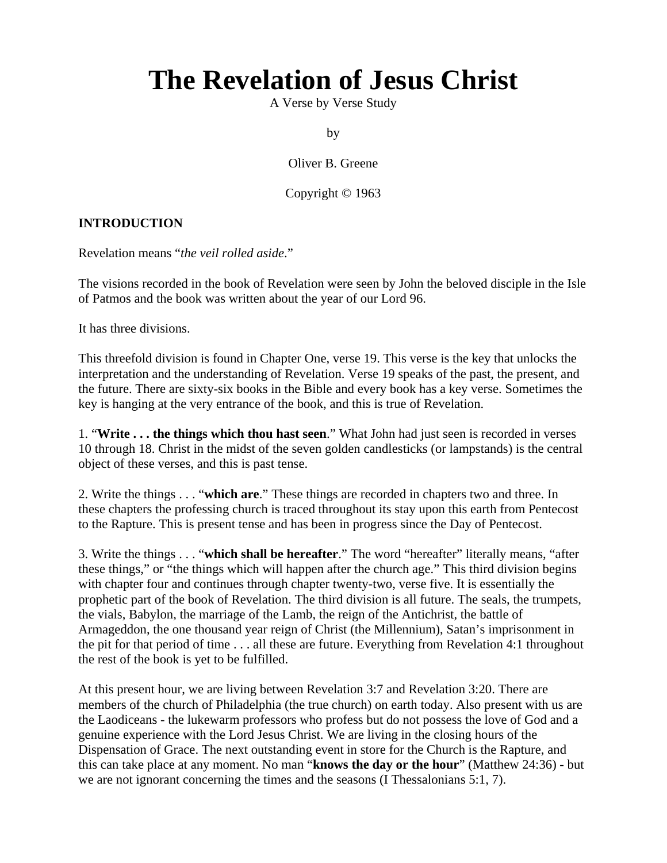## **The Revelation of Jesus Christ**

A Verse by Verse Study

by

Oliver B. Greene

Copyright © 1963

## **INTRODUCTION**

Revelation means "*the veil rolled aside*."

The visions recorded in the book of Revelation were seen by John the beloved disciple in the Isle of Patmos and the book was written about the year of our Lord 96.

It has three divisions.

This threefold division is found in Chapter One, verse 19. This verse is the key that unlocks the interpretation and the understanding of Revelation. Verse 19 speaks of the past, the present, and the future. There are sixty-six books in the Bible and every book has a key verse. Sometimes the key is hanging at the very entrance of the book, and this is true of Revelation.

1. "**Write . . . the things which thou hast seen**." What John had just seen is recorded in verses 10 through 18. Christ in the midst of the seven golden candlesticks (or lampstands) is the central object of these verses, and this is past tense.

2. Write the things . . . "**which are**." These things are recorded in chapters two and three. In these chapters the professing church is traced throughout its stay upon this earth from Pentecost to the Rapture. This is present tense and has been in progress since the Day of Pentecost.

3. Write the things . . . "**which shall be hereafter**." The word "hereafter" literally means, "after these things," or "the things which will happen after the church age." This third division begins with chapter four and continues through chapter twenty-two, verse five. It is essentially the prophetic part of the book of Revelation. The third division is all future. The seals, the trumpets, the vials, Babylon, the marriage of the Lamb, the reign of the Antichrist, the battle of Armageddon, the one thousand year reign of Christ (the Millennium), Satan's imprisonment in the pit for that period of time . . . all these are future. Everything from Revelation 4:1 throughout the rest of the book is yet to be fulfilled.

At this present hour, we are living between Revelation 3:7 and Revelation 3:20. There are members of the church of Philadelphia (the true church) on earth today. Also present with us are the Laodiceans - the lukewarm professors who profess but do not possess the love of God and a genuine experience with the Lord Jesus Christ. We are living in the closing hours of the Dispensation of Grace. The next outstanding event in store for the Church is the Rapture, and this can take place at any moment. No man "**knows the day or the hour**" (Matthew 24:36) - but we are not ignorant concerning the times and the seasons (I Thessalonians 5:1, 7).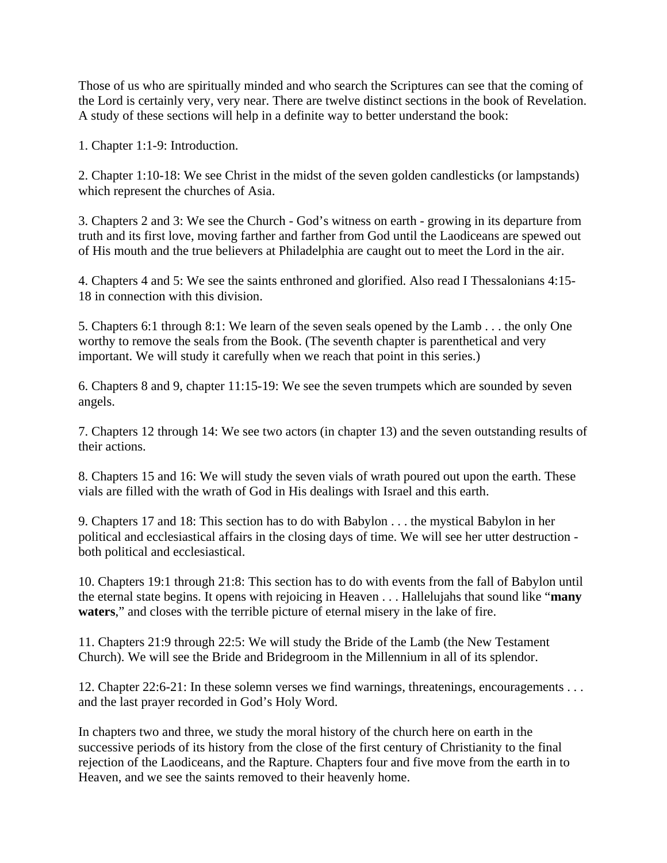Those of us who are spiritually minded and who search the Scriptures can see that the coming of the Lord is certainly very, very near. There are twelve distinct sections in the book of Revelation. A study of these sections will help in a definite way to better understand the book:

1. Chapter 1:1-9: Introduction.

2. Chapter 1:10-18: We see Christ in the midst of the seven golden candlesticks (or lampstands) which represent the churches of Asia.

3. Chapters 2 and 3: We see the Church - God's witness on earth - growing in its departure from truth and its first love, moving farther and farther from God until the Laodiceans are spewed out of His mouth and the true believers at Philadelphia are caught out to meet the Lord in the air.

4. Chapters 4 and 5: We see the saints enthroned and glorified. Also read I Thessalonians 4:15- 18 in connection with this division.

5. Chapters 6:1 through 8:1: We learn of the seven seals opened by the Lamb . . . the only One worthy to remove the seals from the Book. (The seventh chapter is parenthetical and very important. We will study it carefully when we reach that point in this series.)

6. Chapters 8 and 9, chapter 11:15-19: We see the seven trumpets which are sounded by seven angels.

7. Chapters 12 through 14: We see two actors (in chapter 13) and the seven outstanding results of their actions.

8. Chapters 15 and 16: We will study the seven vials of wrath poured out upon the earth. These vials are filled with the wrath of God in His dealings with Israel and this earth.

9. Chapters 17 and 18: This section has to do with Babylon . . . the mystical Babylon in her political and ecclesiastical affairs in the closing days of time. We will see her utter destruction both political and ecclesiastical.

10. Chapters 19:1 through 21:8: This section has to do with events from the fall of Babylon until the eternal state begins. It opens with rejoicing in Heaven . . . Hallelujahs that sound like "**many waters**," and closes with the terrible picture of eternal misery in the lake of fire.

11. Chapters 21:9 through 22:5: We will study the Bride of the Lamb (the New Testament Church). We will see the Bride and Bridegroom in the Millennium in all of its splendor.

12. Chapter 22:6-21: In these solemn verses we find warnings, threatenings, encouragements . . . and the last prayer recorded in God's Holy Word.

In chapters two and three, we study the moral history of the church here on earth in the successive periods of its history from the close of the first century of Christianity to the final rejection of the Laodiceans, and the Rapture. Chapters four and five move from the earth in to Heaven, and we see the saints removed to their heavenly home.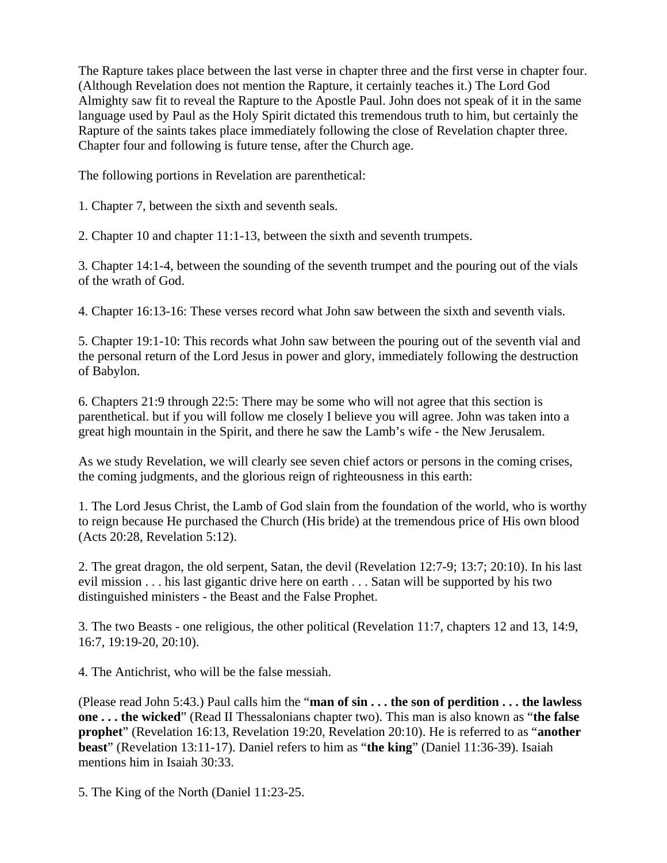The Rapture takes place between the last verse in chapter three and the first verse in chapter four. (Although Revelation does not mention the Rapture, it certainly teaches it.) The Lord God Almighty saw fit to reveal the Rapture to the Apostle Paul. John does not speak of it in the same language used by Paul as the Holy Spirit dictated this tremendous truth to him, but certainly the Rapture of the saints takes place immediately following the close of Revelation chapter three. Chapter four and following is future tense, after the Church age.

The following portions in Revelation are parenthetical:

1. Chapter 7, between the sixth and seventh seals.

2. Chapter 10 and chapter 11:1-13, between the sixth and seventh trumpets.

3. Chapter 14:1-4, between the sounding of the seventh trumpet and the pouring out of the vials of the wrath of God.

4. Chapter 16:13-16: These verses record what John saw between the sixth and seventh vials.

5. Chapter 19:1-10: This records what John saw between the pouring out of the seventh vial and the personal return of the Lord Jesus in power and glory, immediately following the destruction of Babylon.

6. Chapters 21:9 through 22:5: There may be some who will not agree that this section is parenthetical. but if you will follow me closely I believe you will agree. John was taken into a great high mountain in the Spirit, and there he saw the Lamb's wife - the New Jerusalem.

As we study Revelation, we will clearly see seven chief actors or persons in the coming crises, the coming judgments, and the glorious reign of righteousness in this earth:

1. The Lord Jesus Christ, the Lamb of God slain from the foundation of the world, who is worthy to reign because He purchased the Church (His bride) at the tremendous price of His own blood (Acts 20:28, Revelation 5:12).

2. The great dragon, the old serpent, Satan, the devil (Revelation 12:7-9; 13:7; 20:10). In his last evil mission . . . his last gigantic drive here on earth . . . Satan will be supported by his two distinguished ministers - the Beast and the False Prophet.

3. The two Beasts - one religious, the other political (Revelation 11:7, chapters 12 and 13, 14:9, 16:7, 19:19-20, 20:10).

4. The Antichrist, who will be the false messiah.

(Please read John 5:43.) Paul calls him the "**man of sin . . . the son of perdition . . . the lawless one . . . the wicked**" (Read II Thessalonians chapter two). This man is also known as "**the false prophet**" (Revelation 16:13, Revelation 19:20, Revelation 20:10). He is referred to as "**another beast**" (Revelation 13:11-17). Daniel refers to him as "**the king**" (Daniel 11:36-39). Isaiah mentions him in Isaiah 30:33.

5. The King of the North (Daniel 11:23-25.